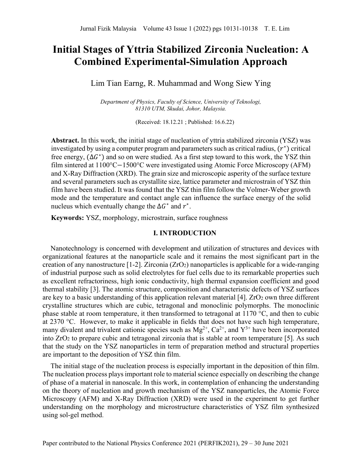# **Initial Stages of Yttria Stabilized Zirconia Nucleation: A Combined Experimental-Simulation Approach**

Lim Tian Earng, R. Muhammad and Wong Siew Ying

*Department of Physics, Faculty of Science, University of Teknologi, 81310 UTM, Skudai, Johor, Malaysia.*

(Received: 18.12.21 ; Published: 16.6.22)

**Abstract.** In this work, the initial stage of nucleation of yttria stabilized zirconia (YSZ) was investigated by using a computer program and parameters such as critical radius,  $(r^*)$  critical free energy,  $(\Delta G^*)$  and so on were studied. As a first step toward to this work, the YSZ thin film sintered at 1100°C−1500°C were investigated using Atomic Force Microscopy (AFM) and X-Ray Diffraction (XRD). The grain size and microscopic asperity of the surface texture and several parameters such as crystallite size, lattice parameter and microstrain of YSZ thin film have been studied. It was found that the YSZ thin film follow the Volmer-Weber growth mode and the temperature and contact angle can influence the surface energy of the solid nucleus which eventually change the  $\Delta G^*$  and  $r^*$ .

**Keywords:** YSZ, morphology, microstrain, surface roughness

## **I. INTRODUCTION**

Nanotechnology is concerned with development and utilization of structures and devices with organizational features at the nanoparticle scale and it remains the most significant part in the creation of any nanostructure [1-2]. Zirconia  $(ZrO<sub>2</sub>)$  nanoparticles is applicable for a wide-ranging of industrial purpose such as solid electrolytes for fuel cells due to its remarkable properties such as excellent refractoriness, high ionic conductivity, high thermal expansion coefficient and good thermal stability [3]. The atomic structure, composition and characteristic defects of YSZ surfaces are key to a basic understanding of this application relevant material [4].  $ZrO<sub>2</sub>$  own three different crystalline structures which are cubic, tetragonal and monoclinic polymorphs. The monoclinic phase stable at room temperature, it then transformed to tetragonal at 1170 °C, and then to cubic at 2370 °C. However, to make it applicable in fields that does not have such high temperature, many divalent and trivalent cationic species such as  $Mg^{2+}$ ,  $Ca^{2+}$ , and  $Y^{3+}$  have been incorporated into ZrO2 to prepare cubic and tetragonal zirconia that is stable at room temperature [5]. As such that the study on the YSZ nanoparticles in term of preparation method and structural properties are important to the deposition of YSZ thin film.

The initial stage of the nucleation process is especially important in the deposition of thin film. The nucleation process plays important role to material science especially on describing the change of phase of a material in nanoscale. In this work, in contemplation of enhancing the understanding on the theory of nucleation and growth mechanism of the YSZ nanoparticles, the Atomic Force Microscopy (AFM) and X-Ray Diffraction (XRD) were used in the experiment to get further understanding on the morphology and microstructure characteristics of YSZ film synthesized using sol-gel method.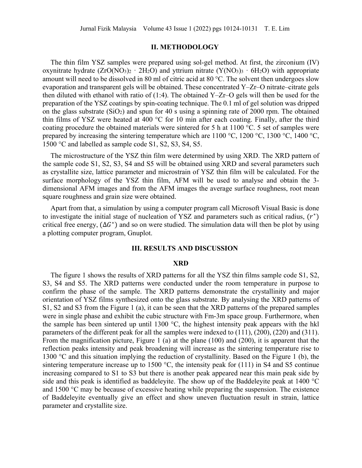## **II. METHODOLOGY**

The thin film YSZ samples were prepared using sol-gel method. At first, the zirconium (IV) oxynitrate hydrate  $(ZrO(NO<sub>3</sub>)<sub>2</sub> · 2H<sub>2</sub>O)$  and yttrium nitrate  $(Y(NO<sub>3</sub>)<sub>3</sub> · 6H<sub>2</sub>O)$  with appropriate amount will need to be dissolved in 80 ml of citric acid at 80 °C. The solvent then undergoes slow evaporation and transparent gels will be obtained. These concentrated Y–Zr–O nitrate–citrate gels then diluted with ethanol with ratio of (1:4). The obtained Y–Zr–O gels will then be used for the preparation of the YSZ coatings by spin-coating technique. The 0.1 ml of gel solution was dripped on the glass substrate  $(SiO<sub>2</sub>)$  and spun for 40 s using a spinning rate of 2000 rpm. The obtained thin films of YSZ were heated at 400 °C for 10 min after each coating. Finally, after the third coating procedure the obtained materials were sintered for 5 h at 1100 °C. 5 set of samples were prepared by increasing the sintering temperature which are  $1100 \degree C$ ,  $1200 \degree C$ ,  $1300 \degree C$ ,  $1400 \degree C$ , 1500 °C and labelled as sample code S1, S2, S3, S4, S5.

The microstructure of the YSZ thin film were determined by using XRD. The XRD pattern of the sample code S1, S2, S3, S4 and S5 will be obtained using XRD and several parameters such as crystallite size, lattice parameter and microstrain of YSZ thin film will be calculated. For the surface morphology of the YSZ thin film, AFM will be used to analyse and obtain the 3 dimensional AFM images and from the AFM images the average surface roughness, root mean square roughness and grain size were obtained.

Apart from that, a simulation by using a computer program call Microsoft Visual Basic is done to investigate the initial stage of nucleation of YSZ and parameters such as critical radius,  $(r^*)$ critical free energy,  $(\Delta G^*)$  and so on were studied. The simulation data will then be plot by using a plotting computer program, Gnuplot.

## **III. RESULTS AND DISCUSSION**

#### **XRD**

The figure 1 shows the results of XRD patterns for all the YSZ thin films sample code S1, S2, S3, S4 and S5. The XRD patterns were conducted under the room temperature in purpose to confirm the phase of the sample. The XRD patterns demonstrate the crystallinity and major orientation of YSZ films synthesized onto the glass substrate. By analysing the XRD patterns of S1, S2 and S3 from the Figure 1 (a), it can be seen that the XRD patterns of the prepared samples were in single phase and exhibit the cubic structure with Fm-3m space group. Furthermore, when the sample has been sintered up until 1300 °C, the highest intensity peak appears with the hkl parameters of the different peak for all the samples were indexed to (111), (200), (220) and (311). From the magnification picture, Figure 1 (a) at the plane (100) and (200), it is apparent that the reflection peaks intensity and peak broadening will increase as the sintering temperature rise to 1300 °C and this situation implying the reduction of crystallinity. Based on the Figure 1 (b), the sintering temperature increase up to 1500 °C, the intensity peak for (111) in S4 and S5 continue increasing compared to S1 to S3 but there is another peak appeared near this main peak side by side and this peak is identified as baddeleyite. The show up of the Baddeleyite peak at 1400 °C and 1500 °C may be because of excessive heating while preparing the suspension. The existence of Baddeleyite eventually give an effect and show uneven fluctuation result in strain, lattice parameter and crystallite size.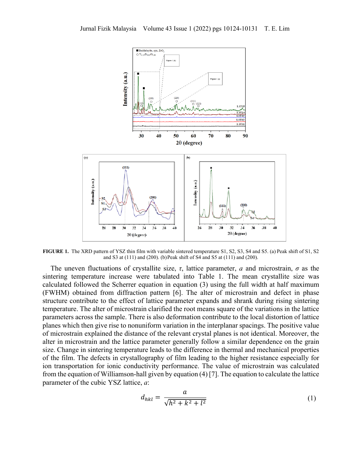

**FIGURE 1.** The XRD pattern of YSZ thin film with variable sintered temperature S1, S2, S3, S4 and S5. (a) Peak shift of S1, S2 and S3 at (111) and (200). (b) Peak shift of S4 and S5 at (111) and (200).

The uneven fluctuations of crystallite size,  $\tau$ , lattice parameter, *a* and microstrain,  $\sigma$  as the sintering temperature increase were tabulated into Table 1. The mean crystallite size was calculated followed the Scherrer equation in equation (3) using the full width at half maximum (FWHM) obtained from diffraction pattern [6]. The alter of microstrain and defect in phase structure contribute to the effect of lattice parameter expands and shrank during rising sintering temperature. The alter of microstrain clarified the root means square of the variations in the lattice parameters across the sample. There is also deformation contribute to the local distortion of lattice planes which then give rise to nonuniform variation in the interplanar spacings. The positive value of microstrain explained the distance of the relevant crystal planes is not identical. Moreover, the alter in microstrain and the lattice parameter generally follow a similar dependence on the grain size. Change in sintering temperature leads to the difference in thermal and mechanical properties of the film. The defects in crystallography of film leading to the higher resistance especially for ion transportation for ionic conductivity performance. The value of microstrain was calculated from the equation of Williamson-hall given by equation (4) [7]. The equation to calculate the lattice parameter of the cubic YSZ lattice, *a*:

$$
d_{hkl} = \frac{a}{\sqrt{h^2 + k^2 + l^2}}
$$
 (1)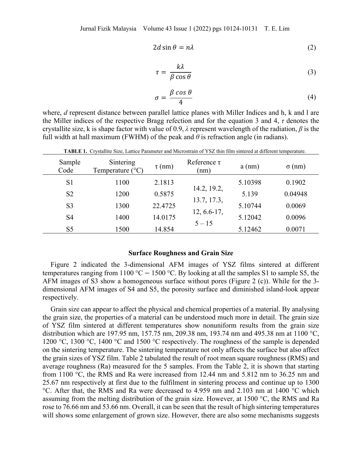$$
2d\sin\theta = n\lambda\tag{2}
$$

$$
\tau = \frac{k\lambda}{\beta \cos \theta} \tag{3}
$$

$$
\sigma = \frac{\beta \cos \theta}{4} \tag{4}
$$

where, *d* represent distance between parallel lattice planes with Miller Indices and h, k and l are the Miller indices of the respective Bragg refection and for the equation 3 and 4, *τ* denotes the crystallite size, k is shape factor with value of 0.9, *λ* represent wavelength of the radiation, *β* is the full width at hall maximum (FWHM) of the peak and  $\theta$  is refraction angle (in radians).

| Sample<br>Code | Sintering<br>Temperature $(^{\circ}C)$ | $\tau$ (nm) | Reference $\tau$<br>(nm) | $a$ (nm) | $\sigma$ (nm) |
|----------------|----------------------------------------|-------------|--------------------------|----------|---------------|
| S <sub>1</sub> | 1100                                   | 2.1813      |                          | 5.10398  | 0.1902        |
| S <sub>2</sub> | 1200                                   | 0.5875      | 14.2, 19.2,              | 5.139    | 0.04948       |
| S <sub>3</sub> | 1300                                   | 22.4725     | 13.7, 17.3,              | 5.10744  | 0.0069        |
| S <sub>4</sub> | 1400                                   | 14.0175     | 12, 6.6-17,<br>$5 - 15$  | 5.12042  | 0.0096        |
| S <sub>5</sub> | 1500                                   | 14.854      |                          | 5.12462  | 0.0071        |

**TABLE 1.** Crystallite Size, Lattice Parameter and Microstrain of YSZ thin film sintered at different temperature.

## **Surface Roughness and Grain Size**

Figure 2 indicated the 3-dimensional AFM images of YSZ films sintered at different temperatures ranging from 1100 °C − 1500 °C. By looking at all the samples S1 to sample S5, the AFM images of S3 show a homogeneous surface without pores (Figure 2 (c)). While for the 3 dimensional AFM images of S4 and S5, the porosity surface and diminished island-look appear respectively.

Grain size can appear to affect the physical and chemical properties of a material. By analysing the grain size, the properties of a material can be understood much more in detail. The grain size of YSZ film sintered at different temperatures show nonuniform results from the grain size distribution which are 197.95 nm, 157.75 nm, 209.38 nm, 193.74 nm and 495.38 nm at 1100 °C, 1200 °C, 1300 °C, 1400 °C and 1500 °C respectively. The roughness of the sample is depended on the sintering temperature. The sintering temperature not only affects the surface but also affect the grain sizes of YSZ film. Table 2 tabulated the result of root mean square roughness (RMS) and average roughness (Ra) measured for the 5 samples. From the Table 2, it is shown that starting from 1100 °C, the RMS and Ra were increased from 12.44 nm and 5.812 nm to 36.25 nm and 25.67 nm respectively at first due to the fulfilment in sintering process and continue up to 1300 °C. After that, the RMS and Ra were decreased to 4.959 nm and 2.103 nm at 1400 °C which assuming from the melting distribution of the grain size. However, at 1500 °C, the RMS and Ra rose to 76.66 nm and 53.66 nm. Overall, it can be seen that the result of high sintering temperatures will shows some enlargement of grown size. However, there are also some mechanisms suggests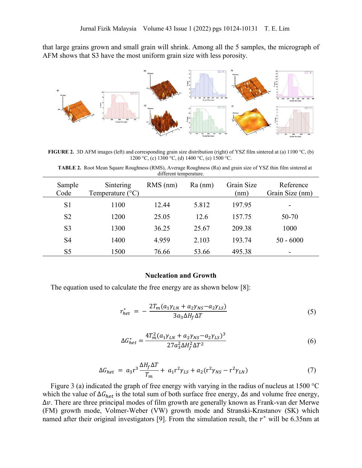that large grains grown and small grain will shrink. Among all the 5 samples, the micrograph of AFM shows that S3 have the most uniform grain size with less porosity.



**FIGURE 2.** 3D AFM images (left) and corresponding grain size distribution (right) of YSZ film sintered at (a) 1100 °C, (b) 1200 °C, (c) 1300 °C, (d) 1400 °C, (e) 1500 °C.

**TABLE 2.** Root Mean Square Roughness (RMS), Average Roughness (Ra) and grain size of YSZ thin film sintered at different temperature.

| Sample<br>Code | Sintering<br>Temperature $(^{\circ}C)$ | $RMS$ (nm) | $Ra$ (nm) | Grain Size<br>(nm) | Reference<br>Grain Size (nm) |
|----------------|----------------------------------------|------------|-----------|--------------------|------------------------------|
| S <sub>1</sub> | 1100                                   | 12.44      | 5.812     | 197.95             |                              |
| S <sub>2</sub> | 1200                                   | 25.05      | 12.6      | 157.75             | 50-70                        |
| S <sub>3</sub> | 1300                                   | 36.25      | 25.67     | 209.38             | 1000                         |
| S <sub>4</sub> | 1400                                   | 4.959      | 2.103     | 193.74             | $50 - 6000$                  |
| S <sub>5</sub> | 1500                                   | 76.66      | 53.66     | 495.38             |                              |

#### **Nucleation and Growth**

The equation used to calculate the free energy are as shown below [8]:

$$
r_{het}^* = -\frac{2T_m(a_1\gamma_{LN} + a_2\gamma_{NS} - a_2\gamma_{LS})}{3a_3\Delta H_f \Delta T}
$$
\n<sup>(5)</sup>

$$
\Delta G_{het}^* = \frac{4T_m^2 (a_1 \gamma_{LN} + a_2 \gamma_{NS} - a_2 \gamma_{LS})^3}{27 a_3^2 \Delta H_f^2 \Delta T^2}
$$
(6)

$$
\Delta G_{het} = a_3 r^3 \frac{\Delta H_f \Delta T}{T_m} + a_1 r^2 \gamma_{LS} + a_2 (r^2 \gamma_{NS} - r^2 \gamma_{LN})
$$
\n(7)

Figure 3 (a) indicated the graph of free energy with varying in the radius of nucleus at 1500 °C which the value of  $\Delta G_{het}$  is the total sum of both surface free energy,  $\Delta s$  and volume free energy, Δ. There are three principal modes of film growth are generally known as Frank-van der Merwe (FM) growth mode, Volmer-Weber (VW) growth mode and Stranski-Krastanov (SK) which named after their original investigators [9]. From the simulation result, the  $r^*$  will be 6.35nm at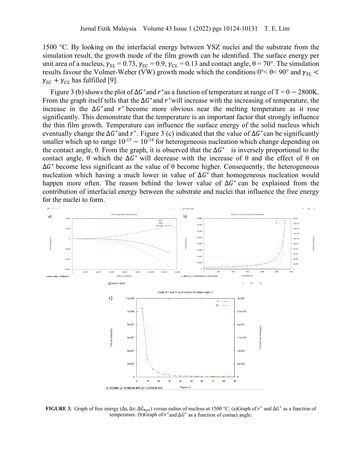1500 °C. By looking on the interfacial energy between YSZ nuclei and the substrate from the simulation result, the growth mode of the film growth can be identified. The surface energy per unit area of a nucleus,  $\gamma_{SL} = 0.73$ ,  $\gamma_{SC} = 0.9$ ,  $\gamma_{CL} = 0.13$  and contact angle,  $\theta = 70^{\circ}$ . The simulation results favour the Volmer-Weber (VW) growth mode which the conditions  $0^{\circ} < \theta < 90^{\circ}$  and  $\gamma_{SL} <$  $\gamma_{SC}$  +  $\gamma_{CL}$  has fulfilled [9].

Figure 3 (b) shows the plot of  $\Delta G^*$  and  $r^*$  as a function of temperature at range of T = 0 – 2800K. From the graph itself tells that the  $\Delta G^*$  and  $r^*$  will increase with the increasing of temperature, the increase in the  $\Delta G^*$  and  $r^*$  become more obvious near the melting temperature as it rose significantly. This demonstrate that the temperature is an important factor that strongly influence the thin film growth. Temperature can influence the surface energy of the solid nucleus which eventually change the  $\Delta G^*$  and  $r^*$ . Figure 3 (c) indicated that the value of  $\Delta G^*$  can be significantly smaller which up to range  $10^{-15} - 10^{-18}$  for heterogeneous nucleation which change depending on the contact angle,  $\theta$ . From the graph, it is observed that the  $\Delta G^*$  is inversely proportional to the contact angle,  $\theta$  which the  $\Delta G^*$  will decrease with the increase of  $\theta$  and the effect of  $\theta$  on  $\Delta G^*$  become less significant as the value of  $\theta$  become higher. Consequently, the heterogeneous nucleation which having a much lower in value of  $\Delta G^*$  than homogeneous nucleation would happen more often. The reason behind the lower value of  $\Delta G^*$  can be explained from the contribution of interfacial energy between the substrate and nuclei that influence the free energy for the nuclei to form.



**FIGURE 3.** Graph of free energy ( $\Delta s$ ,  $\Delta v$ ,  $\Delta G_{het}$ ) versus radius of nucleus at 1500 °C. (a)Graph of  $r^*$  and  $\Delta G^*$  as a function of temperature. (b)Graph of  $r^*$  and  $\Delta G^*$  as a function of contact angle.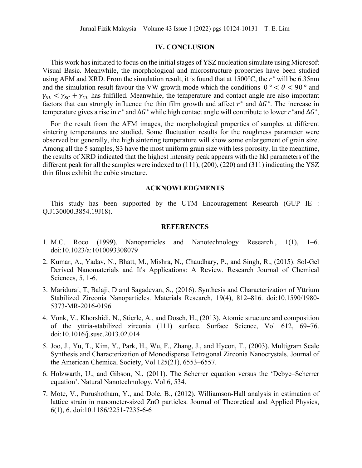## **IV. CONCLUSION**

This work has initiated to focus on the initial stages of YSZ nucleation simulate using Microsoft Visual Basic. Meanwhile, the morphological and microstructure properties have been studied using AFM and XRD. From the simulation result, it is found that at 1500 $^{\circ}$ C, the  $r^*$  will be 6.35nm and the simulation result favour the VW growth mode which the conditions  $0^{\circ} < \theta < 90^{\circ}$  and  $\gamma_{SL} < \gamma_{SC} + \gamma_{CL}$  has fulfilled. Meanwhile, the temperature and contact angle are also important factors that can strongly influence the thin film growth and affect  $r^*$  and  $\Delta G^*$ . The increase in temperature gives a rise in  $r^*$  and  $\Delta G^*$  while high contact angle will contribute to lower  $r^*$ and  $\Delta G^*$ .

For the result from the AFM images, the morphological properties of samples at different sintering temperatures are studied. Some fluctuation results for the roughness parameter were observed but generally, the high sintering temperature will show some enlargement of grain size. Among all the 5 samples, S3 have the most uniform grain size with less porosity. In the meantime, the results of XRD indicated that the highest intensity peak appears with the hkl parameters of the different peak for all the samples were indexed to (111), (200), (220) and (311) indicating the YSZ thin films exhibit the cubic structure.

#### **ACKNOWLEDGMENTS**

This study has been supported by the UTM Encouragement Research (GUP IE : Q.J130000.3854.19J18).

#### **REFERENCES**

- 1. M.C. Roco (1999). Nanoparticles and Nanotechnology Research., 1(1), 1–6. doi:10.1023/a:1010093308079
- 2. Kumar, A., Yadav, N., Bhatt, M., Mishra, N., Chaudhary, P., and Singh, R., (2015). Sol-Gel Derived Nanomaterials and It's Applications: A Review. Research Journal of Chemical Sciences, 5, 1-6.
- 3. Maridurai, T, Balaji, D and Sagadevan, S., (2016). Synthesis and Characterization of Yttrium Stabilized Zirconia Nanoparticles. Materials Research, 19(4), 812–816. doi:10.1590/1980- 5373-MR-2016-0196
- 4. Vonk, V., Khorshidi, N., Stierle, A., and Dosch, H., (2013). Atomic structure and composition of the yttria-stabilized zirconia (111) surface. Surface Science, Vol 612, 69–76. doi:10.1016/j.susc.2013.02.014
- 5. Joo, J., Yu, T., Kim, Y., Park, H., Wu, F., Zhang, J., and Hyeon, T., (2003). Multigram Scale Synthesis and Characterization of Monodisperse Tetragonal Zirconia Nanocrystals. Journal of the American Chemical Society, Vol 125(21), 6553–6557.
- 6. Holzwarth, U., and Gibson, N., (2011). The Scherrer equation versus the 'Debye–Scherrer equation'. Natural Nanotechnology, Vol 6, 534.
- 7. Mote, V., Purushotham, Y., and Dole, B., (2012). Williamson-Hall analysis in estimation of lattice strain in nanometer-sized ZnO particles. Journal of Theoretical and Applied Physics, 6(1), 6. doi:10.1186/2251-7235-6-6